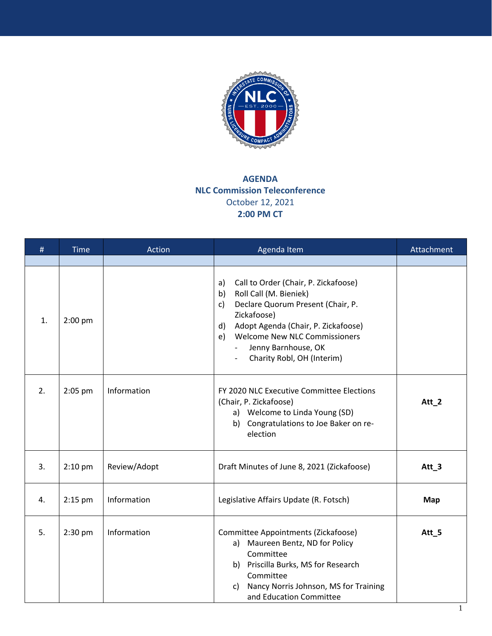

## **AGENDA NLC Commission Teleconference**  October 12, 2021 **2:00 PM CT**

| #  | <b>Time</b> | Action       | Agenda Item                                                                                                                                                                                                                                                                                    | Attachment       |
|----|-------------|--------------|------------------------------------------------------------------------------------------------------------------------------------------------------------------------------------------------------------------------------------------------------------------------------------------------|------------------|
| 1. | $2:00$ pm   |              | Call to Order (Chair, P. Zickafoose)<br>a)<br>Roll Call (M. Bieniek)<br>b)<br>Declare Quorum Present (Chair, P.<br>$\mathsf{c}$<br>Zickafoose)<br>Adopt Agenda (Chair, P. Zickafoose)<br>d)<br><b>Welcome New NLC Commissioners</b><br>e)<br>Jenny Barnhouse, OK<br>Charity Robl, OH (Interim) |                  |
| 2. | 2:05 pm     | Information  | FY 2020 NLC Executive Committee Elections<br>(Chair, P. Zickafoose)<br>a) Welcome to Linda Young (SD)<br>b) Congratulations to Joe Baker on re-<br>election                                                                                                                                    | Att_2            |
| 3. | 2:10 pm     | Review/Adopt | Draft Minutes of June 8, 2021 (Zickafoose)                                                                                                                                                                                                                                                     | Att <sub>3</sub> |
| 4. | 2:15 pm     | Information  | Legislative Affairs Update (R. Fotsch)                                                                                                                                                                                                                                                         | <b>Map</b>       |
| 5. | $2:30$ pm   | Information  | Committee Appointments (Zickafoose)<br>Maureen Bentz, ND for Policy<br>a)<br>Committee<br>b) Priscilla Burks, MS for Research<br>Committee<br>Nancy Norris Johnson, MS for Training<br>C)<br>and Education Committee                                                                           | Att_5            |